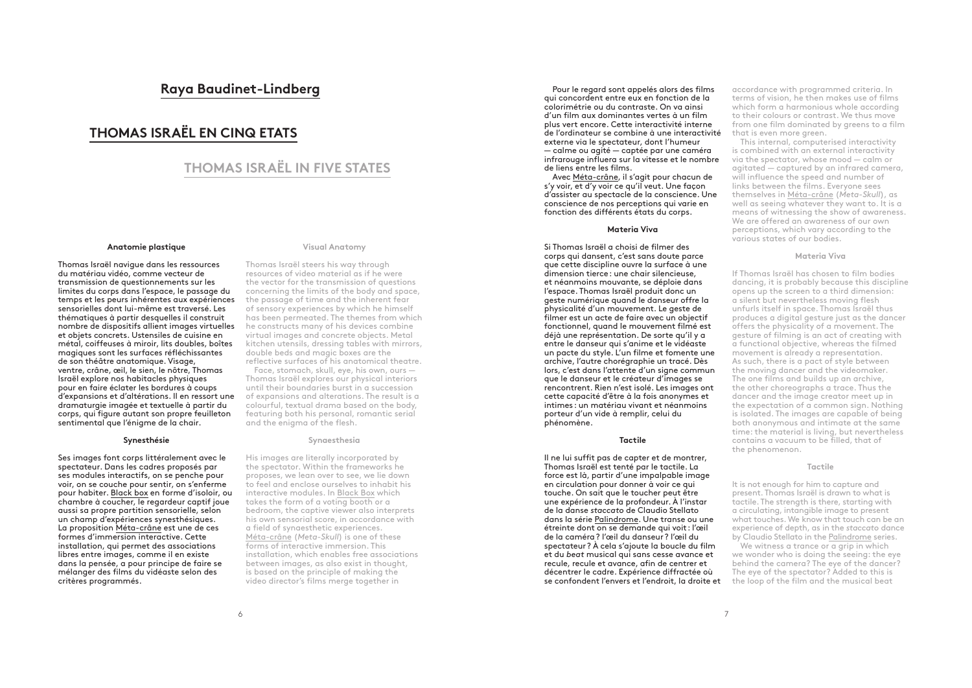# **Raya Baudinet-Lindberg**

# **THOMAS ISRAËL EN CINQ ETATS**

# **THOMAS ISRAËL IN FIVE STATES**

## **Anatomie plastique**

Thomas Israël navigue dans les ressources du matériau vidéo, comme vecteur de transmission de questionnements sur les limites du corps dans l'espace, le passage du temps et les peurs inhérentes aux expériences sensorielles dont lui-même est traversé. Les thématiques à partir desquelles il construit nombre de dispositifs allient images virtuelles et objets concrets. Ustensiles de cuisine en métal, coiffeuses à miroir, lits doubles, boîtes magiques sont les surfaces réfléchissantes de son théâtre anatomique. Visage, ventre, crâne, œil, le sien, le nôtre, Thomas Israël explore nos habitacles physiques pour en faire éclater les bordures à coups d'expansions et d'altérations. Il en ressort une dramaturgie imagée et textuelle à partir du corps, qui figure autant son propre feuilleton sentimental que l'énigme de la chair.

### **Synesthésie**

Ses images font corps littéralement avec le spectateur. Dans les cadres proposés par ses modules interactifs, on se penche pour voir, on se couche pour sentir, on s'enferme pour habiter. Black box en forme d'isoloir, ou chambre à coucher, le regardeur captif joue aussi sa propre partition sensorielle, selon un champ d'expériences synesthésiques. La proposition Méta-crâne est une de ces formes d'immersion interactive. Cette installation, qui permet des associations libres entre images, comme il en existe dans la pensée, a pour principe de faire se mélanger des films du vidéaste selon des critères programmés.

#### **Visual Anatomy**

Thomas Israël steers his way through resources of video material as if he were the vector for the transmission of questions concerning the limits of the body and space, the passage of time and the inherent fear of sensory experiences by which he himself has been permeated. The themes from which he constructs many of his devices combine virtual images and concrete objects. Metal kitchen utensils, dressing tables with mirrors, double beds and magic boxes are the

reflective surfaces of his anatomical theatre. Face, stomach, skull, eye, his own, ours — Thomas Israël explores our physical interiors until their boundaries burst in a succession of expansions and alterations. The result is a colourful, textual drama based on the body, featuring both his personal, romantic serial and the enigma of the flesh.

## **Synaesthesia**

His images are literally incorporated by the spectator. Within the frameworks he proposes, we lean over to see, we lie down to feel and enclose ourselves to inhabit his interactive modules. In Black Box which takes the form of a voting booth or a bedroom, the captive viewer also interprets his own sensorial score, in accordance with a field of synaesthetic experiences. Méta-crâne (*Meta-Skull*) is one of these forms of interactive immersion. This installation, which enables free associations between images, as also exist in thought, is based on the principle of making the video director's films merge together in

Pour le regard sont appelés alors des films qui concordent entre eux en fonction de la colorimétrie ou du contraste. On va ainsi d'un film aux dominantes vertes à un film plus vert encore. Cette interactivité interne de l'ordinateur se combine à une interactivité externe via le spectateur, dont l'humeur — calme ou agité — captée par une caméra infrarouge influera sur la vitesse et le nombre de liens entre les films.

Avec Méta-crâne, il s'agit pour chacun de s'y voir, et d'y voir ce qu'il veut. Une façon d'assister au spectacle de la conscience. Une conscience de nos perceptions qui varie en fonction des différents états du corps.

#### **Materia Viva**

Si Thomas Israël a choisi de filmer des corps qui dansent, c'est sans doute parce que cette discipline ouvre la surface à une dimension tierce: une chair silencieuse, et néanmoins mouvante, se déploie dans l'espace. Thomas Israël produit donc un geste numérique quand le danseur offre la physicalité d'un mouvement. Le geste de filmer est un acte de faire avec un objectif fonctionnel, quand le mouvement filmé est déjà une représentation. De sorte qu'il y a entre le danseur qui s'anime et le vidéaste un pacte du style. L'un filme et fomente une archive, l'autre chorégraphie un tracé. Dès lors, c'est dans l'attente d'un signe commun que le danseur et le créateur d'images se rencontrent. Rien n'est isolé. Les images ont cette capacité d'être à la fois anonymes et intimes : un matériau vivant et néanmoins porteur d'un vide à remplir, celui du phénomène.

#### **Tactile**

Il ne lui suffit pas de capter et de montrer, Thomas Israël est tenté par le tactile. La force est là, partir d'une impalpable image en circulation pour donner à voir ce qui touche. On sait que le toucher peut être une expérience de la profondeur. À l'instar de la danse *staccato* de Claudio Stellato dans la série Palindrome. Une transe ou une étreinte dont on se demande qui voit : l'œil de la caméra? l'œil du danseur? l'œil du spectateur? À cela s'ajoute la boucle du film et du *beat* musical qui sans cesse avance et recule, recule et avance, afin de centrer et décentrer le cadre. Expérience diffractée où

accordance with programmed criteria. In terms of vision, he then makes use of films which form a harmonious whole according to their colours or contrast. We thus move from one film dominated by greens to a film that is even more green.

This internal, computerised interactivity is combined with an external interactivity via the spectator, whose mood — calm or agitated — captured by an infrared camera, will influence the speed and number of links between the films. Everyone sees themselves in Méta-crâne (*Meta-Skull*), as well as seeing whatever they want to. It is a means of witnessing the show of awareness. We are offered an awareness of our own perceptions, which vary according to the various states of our bodies.

#### **Materia Viva**

If Thomas Israël has chosen to film bodies dancing, it is probably because this discipline opens up the screen to a third dimension: a silent but nevertheless moving flesh unfurls itself in space. Thomas Israël thus produces a digital gesture just as the dancer offers the physicality of a movement. The gesture of filming is an act of creating with a functional objective, whereas the filmed movement is already a representation. As such, there is a pact of style between the moving dancer and the videomaker. The one films and builds up an archive, the other choreographs a trace. Thus the dancer and the image creator meet up in the expectation of a common sign. Nothing is isolated. The images are capable of being both anonymous and intimate at the same time: the material is living, but nevertheless contains a vacuum to be filled, that of the phenomenon.

### **Tactile**

It is not enough for him to capture and present. Thomas Israël is drawn to what is tactile. The strength is there, starting with a circulating, intangible image to present what touches. We know that touch can be an experience of depth, as in the *staccato* dance by Claudio Stellato in the Palindrome series.

**se confondent l'envers et l'endroit, la droite et** the loop of the film and the musical beat We witness a trance or a grip in which we wonder who is doing the seeing: the eye behind the camera? The eye of the dancer? The eye of the spectator? Added to this is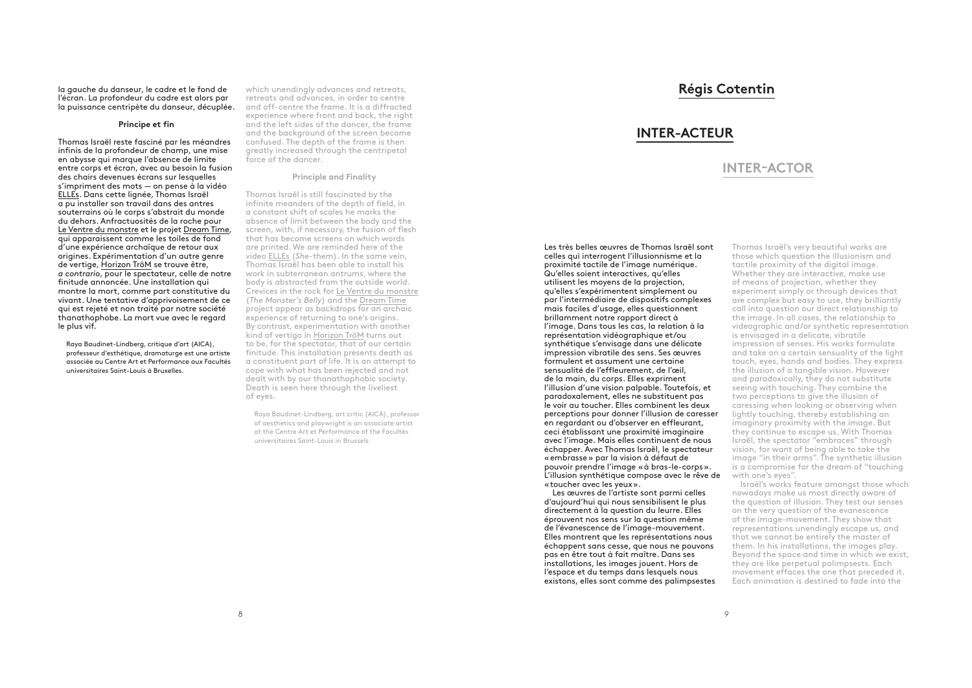la gauche du danseur, le cadre et le fond de l'écran. La profondeur du cadre est alors par la puissance centripète du danseur, décuplée.

### **Principe et fin**

Thomas Israël reste fasciné par les méandres infinis de la profondeur de champ, une mise en abysse qui marque l'absence de limite entre corps et écran, avec au besoin la fusion des chairs devenues écrans sur lesquelles s'impriment des mots — on pense à la vidéo ELLEs. Dans cette lignée, Thomas Israël a pu installer son travail dans des antres souterrains où le corps s'abstrait du monde du dehors. Anfractuosités de la roche pour Le Ventre du monstre et le projet Dream Time, qui apparaissent comme les toiles de fond d'une expérience archaïque de retour aux origines. Expérimentation d'un autre genre de vertige, Horizon TröM se trouve être, *a contrario*, pour le spectateur, celle de notre finitude annoncée. Une installation qui montre la mort, comme part constitutive du vivant. Une tentative d'apprivoisement de ce qui est rejeté et non traité par notre société thanathophobe. La mort vue avec le regard le plus vif.

Raya Baudinet-Lindberg, critique d'art (AICA), professeur d'esthétique, dramaturge est une artiste associée au Centre Art et Performance aux Facultés universitaires Saint-Louis à Bruxelles.

which unendingly advances and retreats, retreats and advances, in order to centre and off-centre the frame. It is a diffracted experience where front and back, the right and the left sides of the dancer, the frame and the background of the screen become confused. The depth of the frame is then greatly increased through the centripetal force of the dancer.

### **Principle and Finality**

Thomas Israël is still fascinated by the infinite meanders of the depth of field, in a constant shift of scales he marks the absence of limit between the body and the screen, with, if necessary, the fusion of flesh that has become screens on which words are printed. We are reminded here of the video ELLEs (*She-them*). In the same vein, Thomas Israël has been able to install his work in subterranean antrums, where the body is abstracted from the outside world. Crevices in the rock for Le Ventre du monstre (*The Monster's Belly*) and the Dream Time project appear as backdrops for an archaic experience of returning to one's origins. By contrast, experimentation with another kind of vertigo in Horizon TröM turns out to be, for the spectator, that of our certain finitude. This installation presents death as a constituent part of life. It is an attempt to cope with what has been rejected and not dealt with by our thanathophobic society. Death is seen here through the liveliest of eyes.

Raya Baudinet-Lindberg, art critic (AICA), professor of aesthetics and playwright is an associate artist at the Centre Art et Performance of the Facultés universitaires Saint-Louis in Brussels

# **Régis Cotentin**

# **INTER-ACTEUR**

# **INTER-ACTOR**

Les très belles œuvres de Thomas Israël sont celles qui interrogent l'illusionnisme et la proximité tactile de l'image numérique. Qu'elles soient interactives, qu'elles utilisent les moyens de la projection, qu'elles s'expérimentent simplement ou par l'intermédiaire de dispositifs complexes mais faciles d'usage, elles questionnent brillamment notre rapport direct à l'image. Dans tous les cas, la relation à la représentation vidéographique et/ou synthétique s'envisage dans une délicate impression vibratile des sens. Ses œuvres formulent et assument une certaine sensualité de l'effleurement, de l'œil, de la main, du corps. Elles expriment l'illusion d'une vision palpable. Toutefois, et paradoxalement, elles ne substituent pas le voir au toucher. Elles combinent les deux perceptions pour donner l'illusion de caresser en regardant ou d'observer en effleurant, ceci établissant une proximité imaginaire avec l'image. Mais elles continuent de nous échapper. Avec Thomas Israël, le spectateur «embrasse» par la vision à défaut de pouvoir prendre l'image «à bras-le-corps». L'illusion synthétique compose avec le rêve de «toucher avec les yeux».

Les œuvres de l'artiste sont parmi celles d'aujourd'hui qui nous sensibilisent le plus directement à la question du leurre. Elles éprouvent nos sens sur la question même de l'évanescence de l'image-mouvement. Elles montrent que les représentations nous échappent sans cesse, que nous ne pouvons pas en être tout à fait maître. Dans ses installations, les images jouent. Hors de l'espace et du temps dans lesquels nous existons, elles sont comme des palimpsestes Thomas Israël's very beautiful works are those which question the illusionism and tactile proximity of the digital image. Whether they are interactive, make use of means of projection, whether they experiment simply or through devices that are complex but easy to use, they brilliantly call into question our direct relationship to the image. In all cases, the relationship to videographic and/or synthetic representation is envisaged in a delicate, vibratile impression of senses. His works formulate and take on a certain sensuality of the light touch, eyes, hands and bodies. They express the illusion of a tangible vision. However and paradoxically, they do not substitute seeing with touching. They combine the two perceptions to give the illusion of caressing when looking or observing when lightly touching, thereby establishing an imaginary proximity with the image. But they continue to escape us. With Thomas Israël, the spectator "embraces" through vision, for want of being able to take the image "in their arms". The synthetic illusion is a compromise for the dream of "touching with one's eyes".

Israël's works feature amongst those which nowadays make us most directly aware of the question of illusion. They test our senses on the very question of the evanescence of the image-movement. They show that representations unendingly escape us, and that we cannot be entirely the master of them. In his installations, the images play. Beyond the space and time in which we exist, they are like perpetual palimpsests. Each movement effaces the one that preceded it. Each animation is destined to fade into the